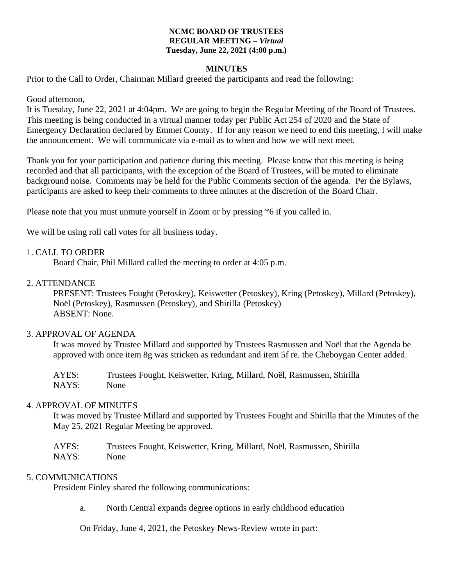#### **NCMC BOARD OF TRUSTEES REGULAR MEETING –** *Virtual* **Tuesday, June 22, 2021 (4:00 p.m.)**

### **MINUTES**

Prior to the Call to Order, Chairman Millard greeted the participants and read the following:

Good afternoon,

It is Tuesday, June 22, 2021 at 4:04pm. We are going to begin the Regular Meeting of the Board of Trustees. This meeting is being conducted in a virtual manner today per Public Act 254 of 2020 and the State of Emergency Declaration declared by Emmet County. If for any reason we need to end this meeting, I will make the announcement. We will communicate via e-mail as to when and how we will next meet.

Thank you for your participation and patience during this meeting. Please know that this meeting is being recorded and that all participants, with the exception of the Board of Trustees, will be muted to eliminate background noise. Comments may be held for the Public Comments section of the agenda. Per the Bylaws, participants are asked to keep their comments to three minutes at the discretion of the Board Chair.

Please note that you must unmute yourself in Zoom or by pressing \*6 if you called in.

We will be using roll call votes for all business today.

#### 1. CALL TO ORDER

Board Chair, Phil Millard called the meeting to order at 4:05 p.m.

#### 2. ATTENDANCE

PRESENT: Trustees Fought (Petoskey), Keiswetter (Petoskey), Kring (Petoskey), Millard (Petoskey), Noël (Petoskey), Rasmussen (Petoskey), and Shirilla (Petoskey) ABSENT: None.

#### 3. APPROVAL OF AGENDA

It was moved by Trustee Millard and supported by Trustees Rasmussen and Noël that the Agenda be approved with once item 8g was stricken as redundant and item 5f re. the Cheboygan Center added.

AYES: Trustees Fought, Keiswetter, Kring, Millard, Noël, Rasmussen, Shirilla NAYS: None

#### 4. APPROVAL OF MINUTES

It was moved by Trustee Millard and supported by Trustees Fought and Shirilla that the Minutes of the May 25, 2021 Regular Meeting be approved.

| AYES: | Trustees Fought, Keiswetter, Kring, Millard, Noël, Rasmussen, Shirilla |
|-------|------------------------------------------------------------------------|
| NAYS: | None                                                                   |

### 5. COMMUNICATIONS

President Finley shared the following communications:

a. North Central expands degree options in early childhood education

On Friday, June 4, 2021, the Petoskey News-Review wrote in part: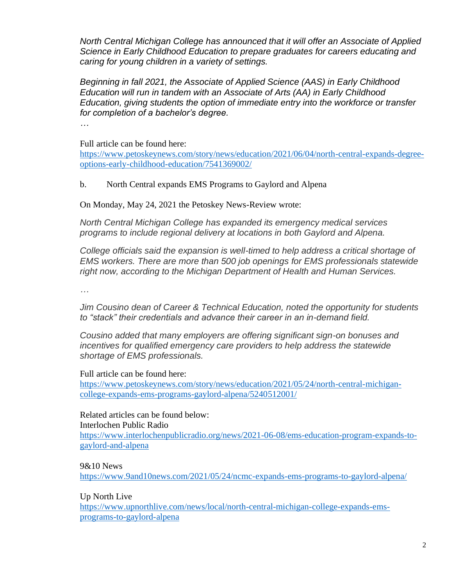*North Central Michigan College has announced that it will offer an Associate of Applied Science in Early Childhood Education to prepare graduates for careers educating and caring for young children in a variety of settings.*

*Beginning in fall 2021, the Associate of Applied Science (AAS) in Early Childhood Education will run in tandem with an Associate of Arts (AA) in Early Childhood Education, giving students the option of immediate entry into the workforce or transfer for completion of a bachelor's degree.*

*…*

Full article can be found here:

[https://www.petoskeynews.com/story/news/education/2021/06/04/north-central-expands-degree](https://www.petoskeynews.com/story/news/education/2021/06/04/north-central-expands-degree-options-early-childhood-education/7541369002/)[options-early-childhood-education/7541369002/](https://www.petoskeynews.com/story/news/education/2021/06/04/north-central-expands-degree-options-early-childhood-education/7541369002/)

b. North Central expands EMS Programs to Gaylord and Alpena

On Monday, May 24, 2021 the Petoskey News-Review wrote:

*North Central Michigan College has expanded its emergency medical services programs to include regional delivery at locations in both Gaylord and Alpena.*

*College officials said the expansion is well-timed to help address a critical shortage of EMS workers. There are more than 500 job openings for EMS professionals statewide right now, according to the Michigan Department of Health and Human Services.*

*…*

*Jim Cousino dean of Career & Technical Education, noted the opportunity for students to "stack" their credentials and advance their career in an in-demand field.* 

*Cousino added that many employers are offering significant sign-on bonuses and incentives for qualified emergency care providers to help address the statewide shortage of EMS professionals.*

Full article can be found here:

[https://www.petoskeynews.com/story/news/education/2021/05/24/north-central-michigan](https://www.petoskeynews.com/story/news/education/2021/05/24/north-central-michigan-college-expands-ems-programs-gaylord-alpena/5240512001/)[college-expands-ems-programs-gaylord-alpena/5240512001/](https://www.petoskeynews.com/story/news/education/2021/05/24/north-central-michigan-college-expands-ems-programs-gaylord-alpena/5240512001/)

Related articles can be found below: Interlochen Public Radio [https://www.interlochenpublicradio.org/news/2021-06-08/ems-education-program-expands-to](https://www.interlochenpublicradio.org/news/2021-06-08/ems-education-program-expands-to-gaylord-and-alpena)[gaylord-and-alpena](https://www.interlochenpublicradio.org/news/2021-06-08/ems-education-program-expands-to-gaylord-and-alpena)

9&10 News

<https://www.9and10news.com/2021/05/24/ncmc-expands-ems-programs-to-gaylord-alpena/>

Up North Live

[https://www.upnorthlive.com/news/local/north-central-michigan-college-expands-ems](https://www.upnorthlive.com/news/local/north-central-michigan-college-expands-ems-programs-to-gaylord-alpena)[programs-to-gaylord-alpena](https://www.upnorthlive.com/news/local/north-central-michigan-college-expands-ems-programs-to-gaylord-alpena)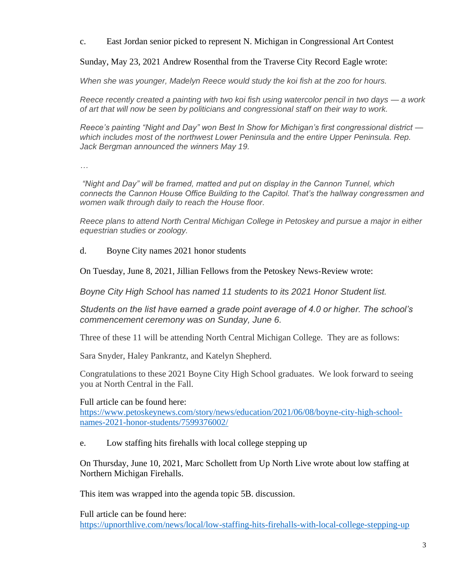c. East Jordan senior picked to represent N. Michigan in Congressional Art Contest

Sunday, May 23, 2021 Andrew Rosenthal from the Traverse City Record Eagle wrote:

*When she was younger, Madelyn Reece would study the koi fish at the zoo for hours.*

*Reece recently created a painting with two koi fish using watercolor pencil in two days — a work of art that will now be seen by politicians and congressional staff on their way to work.*

*Reece's painting "Night and Day" won Best In Show for Michigan's first congressional district which includes most of the northwest Lower Peninsula and the entire Upper Peninsula. Rep. Jack Bergman announced the winners May 19.*

*…*

*"Night and Day" will be framed, matted and put on display in the Cannon Tunnel, which connects the Cannon House Office Building to the Capitol. That's the hallway congressmen and women walk through daily to reach the House floor.*

*Reece plans to attend North Central Michigan College in Petoskey and pursue a major in either equestrian studies or zoology.*

d. Boyne City names 2021 honor students

On Tuesday, June 8, 2021, Jillian Fellows from the Petoskey News-Review wrote:

*Boyne City High School has named 11 students to its 2021 Honor Student list.*

*Students on the list have earned a grade point average of 4.0 or higher. The school's commencement ceremony was on Sunday, June 6.* 

Three of these 11 will be attending North Central Michigan College. They are as follows:

Sara Snyder, Haley Pankrantz, and Katelyn Shepherd.

Congratulations to these 2021 Boyne City High School graduates. We look forward to seeing you at North Central in the Fall.

Full article can be found here:

[https://www.petoskeynews.com/story/news/education/2021/06/08/boyne-city-high-school](https://www.petoskeynews.com/story/news/education/2021/06/08/boyne-city-high-school-names-2021-honor-students/7599376002/)[names-2021-honor-students/7599376002/](https://www.petoskeynews.com/story/news/education/2021/06/08/boyne-city-high-school-names-2021-honor-students/7599376002/)

e. Low staffing hits firehalls with local college stepping up

On Thursday, June 10, 2021, Marc Schollett from Up North Live wrote about low staffing at Northern Michigan Firehalls.

This item was wrapped into the agenda topic 5B. discussion.

Full article can be found here: <https://upnorthlive.com/news/local/low-staffing-hits-firehalls-with-local-college-stepping-up>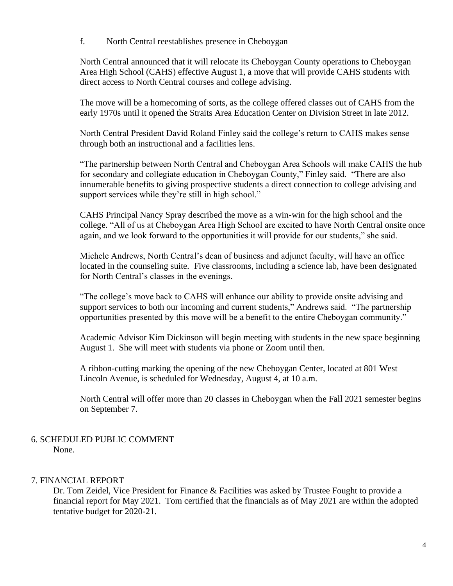f. North Central reestablishes presence in Cheboygan

North Central announced that it will relocate its Cheboygan County operations to Cheboygan Area High School (CAHS) effective August 1, a move that will provide CAHS students with direct access to North Central courses and college advising.

The move will be a homecoming of sorts, as the college offered classes out of CAHS from the early 1970s until it opened the Straits Area Education Center on Division Street in late 2012.

North Central President David Roland Finley said the college's return to CAHS makes sense through both an instructional and a facilities lens.

"The partnership between North Central and Cheboygan Area Schools will make CAHS the hub for secondary and collegiate education in Cheboygan County," Finley said. "There are also innumerable benefits to giving prospective students a direct connection to college advising and support services while they're still in high school."

CAHS Principal Nancy Spray described the move as a win-win for the high school and the college. "All of us at Cheboygan Area High School are excited to have North Central onsite once again, and we look forward to the opportunities it will provide for our students," she said.

Michele Andrews, North Central's dean of business and adjunct faculty, will have an office located in the counseling suite. Five classrooms, including a science lab, have been designated for North Central's classes in the evenings.

"The college's move back to CAHS will enhance our ability to provide onsite advising and support services to both our incoming and current students," Andrews said. "The partnership opportunities presented by this move will be a benefit to the entire Cheboygan community."

Academic Advisor Kim Dickinson will begin meeting with students in the new space beginning August 1. She will meet with students via phone or Zoom until then.

A ribbon-cutting marking the opening of the new Cheboygan Center, located at 801 West Lincoln Avenue, is scheduled for Wednesday, August 4, at 10 a.m.

North Central will offer more than 20 classes in Cheboygan when the Fall 2021 semester begins on September 7.

#### 6. SCHEDULED PUBLIC COMMENT None.

# 7. FINANCIAL REPORT

Dr. Tom Zeidel, Vice President for Finance & Facilities was asked by Trustee Fought to provide a financial report for May 2021. Tom certified that the financials as of May 2021 are within the adopted tentative budget for 2020-21.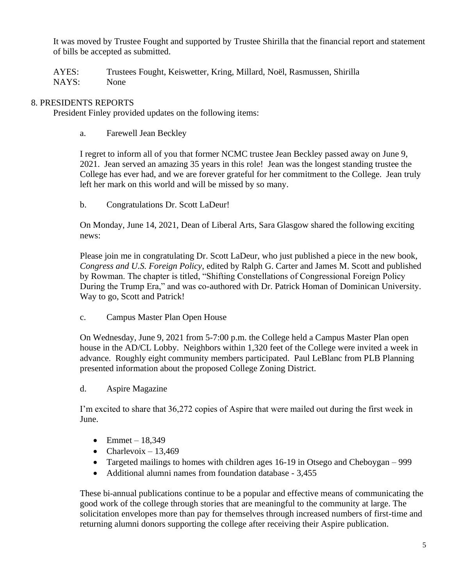It was moved by Trustee Fought and supported by Trustee Shirilla that the financial report and statement of bills be accepted as submitted.

AYES: Trustees Fought, Keiswetter, Kring, Millard, Noël, Rasmussen, Shirilla NAYS: None

## 8. PRESIDENTS REPORTS

President Finley provided updates on the following items:

a. Farewell Jean Beckley

I regret to inform all of you that former NCMC trustee Jean Beckley passed away on June 9, 2021. Jean served an amazing 35 years in this role! Jean was the longest standing trustee the College has ever had, and we are forever grateful for her commitment to the College. Jean truly left her mark on this world and will be missed by so many.

b. Congratulations Dr. Scott LaDeur!

On Monday, June 14, 2021, Dean of Liberal Arts, Sara Glasgow shared the following exciting news:

Please join me in congratulating Dr. Scott LaDeur, who just published a piece in the new book, *Congress and U.S. Foreign Policy*, edited by Ralph G. Carter and James M. Scott and published by Rowman. The chapter is titled, "Shifting Constellations of Congressional Foreign Policy During the Trump Era," and was co-authored with Dr. Patrick Homan of Dominican University. Way to go, Scott and Patrick!

c. Campus Master Plan Open House

On Wednesday, June 9, 2021 from 5-7:00 p.m. the College held a Campus Master Plan open house in the AD/CL Lobby. Neighbors within 1,320 feet of the College were invited a week in advance. Roughly eight community members participated. Paul LeBlanc from PLB Planning presented information about the proposed College Zoning District.

d. Aspire Magazine

I'm excited to share that 36,272 copies of Aspire that were mailed out during the first week in June.

- Emmet  $18,349$
- Charlevoix  $-13,469$
- Targeted mailings to homes with children ages 16-19 in Otsego and Cheboygan 999
- Additional alumni names from foundation database 3,455

These bi-annual publications continue to be a popular and effective means of communicating the good work of the college through stories that are meaningful to the community at large. The solicitation envelopes more than pay for themselves through increased numbers of first-time and returning alumni donors supporting the college after receiving their Aspire publication.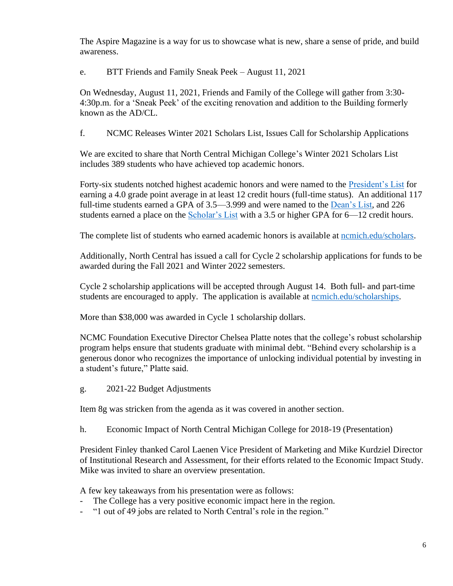The Aspire Magazine is a way for us to showcase what is new, share a sense of pride, and build awareness.

e. BTT Friends and Family Sneak Peek – August 11, 2021

On Wednesday, August 11, 2021, Friends and Family of the College will gather from 3:30- 4:30p.m. for a 'Sneak Peek' of the exciting renovation and addition to the Building formerly known as the AD/CL.

f. NCMC Releases Winter 2021 Scholars List, Issues Call for Scholarship Applications

We are excited to share that North Central Michigan College's Winter 2021 Scholars List includes 389 students who have achieved top academic honors.

Forty-six students notched highest academic honors and were named to the [President's List](https://www.ncmich.edu/scholars#presidents) for earning a 4.0 grade point average in at least 12 credit hours (full-time status). An additional 117 full-time students earned a GPA of 3.5—3.999 and were named to the [Dean's List,](https://www.ncmich.edu/scholars#deanslist) and 226 students earned a place on the [Scholar's List](https://www.ncmich.edu/about-us/facts-resources/scholars-list.html#scholarslist) with a 3.5 or higher GPA for 6–12 credit hours.

The complete list of students who earned academic honors is available at nemich.edu/scholars.

Additionally, North Central has issued a call for Cycle 2 scholarship applications for funds to be awarded during the Fall 2021 and Winter 2022 semesters.

Cycle 2 scholarship applications will be accepted through August 14. Both full- and part-time students are encouraged to apply. The application is available at nomich.edu/scholarships.

More than \$38,000 was awarded in Cycle 1 scholarship dollars.

NCMC Foundation Executive Director Chelsea Platte notes that the college's robust scholarship program helps ensure that students graduate with minimal debt. "Behind every scholarship is a generous donor who recognizes the importance of unlocking individual potential by investing in a student's future," Platte said.

g. 2021-22 Budget Adjustments

Item 8g was stricken from the agenda as it was covered in another section.

h. Economic Impact of North Central Michigan College for 2018-19 (Presentation)

President Finley thanked Carol Laenen Vice President of Marketing and Mike Kurdziel Director of Institutional Research and Assessment, for their efforts related to the Economic Impact Study. Mike was invited to share an overview presentation.

A few key takeaways from his presentation were as follows:

- The College has a very positive economic impact here in the region.
- "1 out of 49 jobs are related to North Central's role in the region."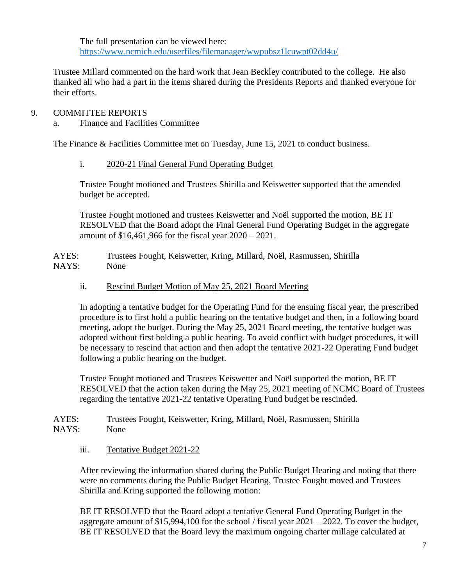The full presentation can be viewed here: <https://www.ncmich.edu/userfiles/filemanager/wwpubsz1lcuwpt02dd4u/>

Trustee Millard commented on the hard work that Jean Beckley contributed to the college. He also thanked all who had a part in the items shared during the Presidents Reports and thanked everyone for their efforts.

# 9. COMMITTEE REPORTS

a. Finance and Facilities Committee

The Finance & Facilities Committee met on Tuesday, June 15, 2021 to conduct business.

i. 2020-21 Final General Fund Operating Budget

Trustee Fought motioned and Trustees Shirilla and Keiswetter supported that the amended budget be accepted.

Trustee Fought motioned and trustees Keiswetter and Noël supported the motion, BE IT RESOLVED that the Board adopt the Final General Fund Operating Budget in the aggregate amount of \$16,461,966 for the fiscal year 2020 – 2021.

AYES: Trustees Fought, Keiswetter, Kring, Millard, Noël, Rasmussen, Shirilla NAYS: None

ii. Rescind Budget Motion of May 25, 2021 Board Meeting

In adopting a tentative budget for the Operating Fund for the ensuing fiscal year, the prescribed procedure is to first hold a public hearing on the tentative budget and then, in a following board meeting, adopt the budget. During the May 25, 2021 Board meeting, the tentative budget was adopted without first holding a public hearing. To avoid conflict with budget procedures, it will be necessary to rescind that action and then adopt the tentative 2021-22 Operating Fund budget following a public hearing on the budget.

Trustee Fought motioned and Trustees Keiswetter and Noël supported the motion, BE IT RESOLVED that the action taken during the May 25, 2021 meeting of NCMC Board of Trustees regarding the tentative 2021-22 tentative Operating Fund budget be rescinded.

AYES: Trustees Fought, Keiswetter, Kring, Millard, Noël, Rasmussen, Shirilla NAYS: None

iii. Tentative Budget 2021-22

After reviewing the information shared during the Public Budget Hearing and noting that there were no comments during the Public Budget Hearing, Trustee Fought moved and Trustees Shirilla and Kring supported the following motion:

BE IT RESOLVED that the Board adopt a tentative General Fund Operating Budget in the aggregate amount of \$15,994,100 for the school / fiscal year 2021 – 2022. To cover the budget, BE IT RESOLVED that the Board levy the maximum ongoing charter millage calculated at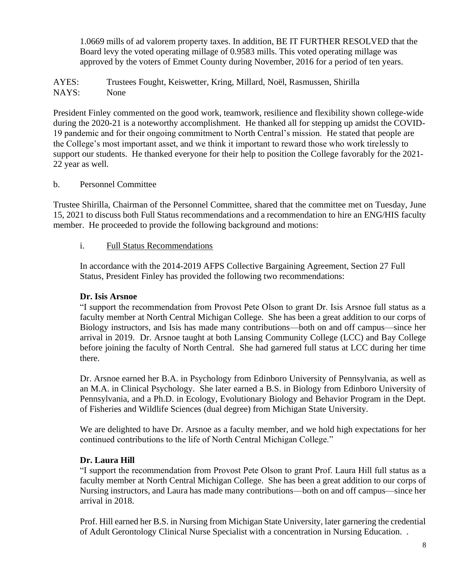1.0669 mills of ad valorem property taxes. In addition, BE IT FURTHER RESOLVED that the Board levy the voted operating millage of 0.9583 mills. This voted operating millage was approved by the voters of Emmet County during November, 2016 for a period of ten years.

AYES: Trustees Fought, Keiswetter, Kring, Millard, Noël, Rasmussen, Shirilla NAYS: None

President Finley commented on the good work, teamwork, resilience and flexibility shown college-wide during the 2020-21 is a noteworthy accomplishment. He thanked all for stepping up amidst the COVID-19 pandemic and for their ongoing commitment to North Central's mission. He stated that people are the College's most important asset, and we think it important to reward those who work tirelessly to support our students. He thanked everyone for their help to position the College favorably for the 2021- 22 year as well.

## b. Personnel Committee

Trustee Shirilla, Chairman of the Personnel Committee, shared that the committee met on Tuesday, June 15, 2021 to discuss both Full Status recommendations and a recommendation to hire an ENG/HIS faculty member. He proceeded to provide the following background and motions:

## i. Full Status Recommendations

In accordance with the 2014-2019 AFPS Collective Bargaining Agreement, Section 27 Full Status, President Finley has provided the following two recommendations:

# **Dr. Isis Arsnoe**

"I support the recommendation from Provost Pete Olson to grant Dr. Isis Arsnoe full status as a faculty member at North Central Michigan College. She has been a great addition to our corps of Biology instructors, and Isis has made many contributions—both on and off campus—since her arrival in 2019. Dr. Arsnoe taught at both Lansing Community College (LCC) and Bay College before joining the faculty of North Central. She had garnered full status at LCC during her time there.

Dr. Arsnoe earned her B.A. in Psychology from Edinboro University of Pennsylvania, as well as an M.A. in Clinical Psychology. She later earned a B.S. in Biology from Edinboro University of Pennsylvania, and a Ph.D. in Ecology, Evolutionary Biology and Behavior Program in the Dept. of Fisheries and Wildlife Sciences (dual degree) from Michigan State University.

We are delighted to have Dr. Arsnoe as a faculty member, and we hold high expectations for her continued contributions to the life of North Central Michigan College."

# **Dr. Laura Hill**

"I support the recommendation from Provost Pete Olson to grant Prof. Laura Hill full status as a faculty member at North Central Michigan College. She has been a great addition to our corps of Nursing instructors, and Laura has made many contributions—both on and off campus—since her arrival in 2018.

Prof. Hill earned her B.S. in Nursing from Michigan State University, later garnering the credential of Adult Gerontology Clinical Nurse Specialist with a concentration in Nursing Education. .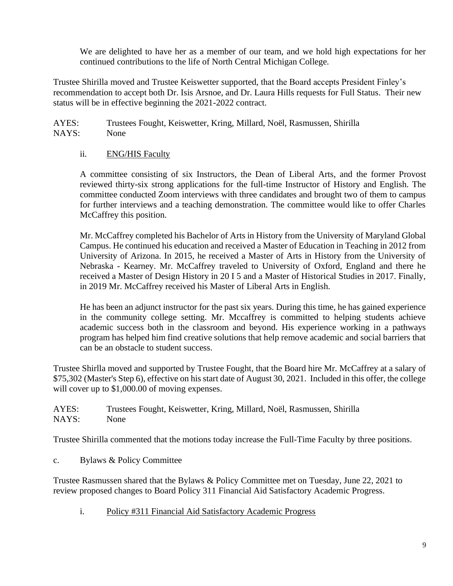We are delighted to have her as a member of our team, and we hold high expectations for her continued contributions to the life of North Central Michigan College.

Trustee Shirilla moved and Trustee Keiswetter supported, that the Board accepts President Finley's recommendation to accept both Dr. Isis Arsnoe, and Dr. Laura Hills requests for Full Status. Their new status will be in effective beginning the 2021-2022 contract.

AYES: Trustees Fought, Keiswetter, Kring, Millard, Noël, Rasmussen, Shirilla NAYS: None

# ii. ENG/HIS Faculty

A committee consisting of six Instructors, the Dean of Liberal Arts, and the former Provost reviewed thirty-six strong applications for the full-time Instructor of History and English. The committee conducted Zoom interviews with three candidates and brought two of them to campus for further interviews and a teaching demonstration. The committee would like to offer Charles McCaffrey this position.

Mr. McCaffrey completed his Bachelor of Arts in History from the University of Maryland Global Campus. He continued his education and received a Master of Education in Teaching in 2012 from University of Arizona. In 2015, he received a Master of Arts in History from the University of Nebraska - Kearney. Mr. McCaffrey traveled to University of Oxford, England and there he received a Master of Design History in 20 I 5 and a Master of Historical Studies in 2017. Finally, in 2019 Mr. McCaffrey received his Master of Liberal Arts in English.

He has been an adjunct instructor for the past six years. During this time, he has gained experience in the community college setting. Mr. Mccaffrey is committed to helping students achieve academic success both in the classroom and beyond. His experience working in a pathways program has helped him find creative solutions that help remove academic and social barriers that can be an obstacle to student success.

Trustee Shirlla moved and supported by Trustee Fought, that the Board hire Mr. McCaffrey at a salary of \$75,302 (Master's Step 6), effective on his start date of August 30, 2021. Included in this offer, the college will cover up to \$1,000.00 of moving expenses.

AYES: Trustees Fought, Keiswetter, Kring, Millard, Noël, Rasmussen, Shirilla NAYS: None

Trustee Shirilla commented that the motions today increase the Full-Time Faculty by three positions.

c. Bylaws & Policy Committee

Trustee Rasmussen shared that the Bylaws & Policy Committee met on Tuesday, June 22, 2021 to review proposed changes to Board Policy 311 Financial Aid Satisfactory Academic Progress.

i. Policy #311 Financial Aid Satisfactory Academic Progress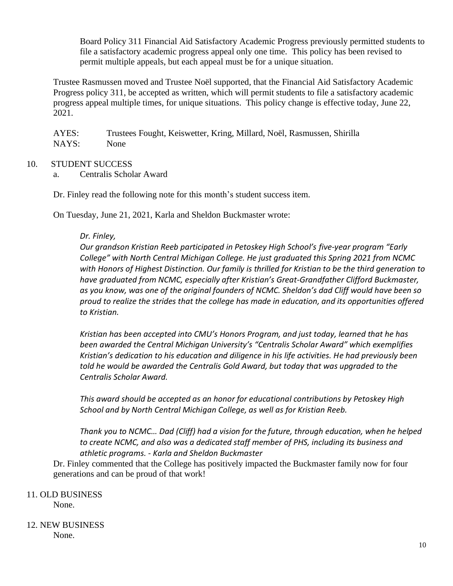Board Policy 311 Financial Aid Satisfactory Academic Progress previously permitted students to file a satisfactory academic progress appeal only one time. This policy has been revised to permit multiple appeals, but each appeal must be for a unique situation.

Trustee Rasmussen moved and Trustee Noël supported, that the Financial Aid Satisfactory Academic Progress policy 311, be accepted as written, which will permit students to file a satisfactory academic progress appeal multiple times, for unique situations. This policy change is effective today, June 22, 2021.

AYES: Trustees Fought, Keiswetter, Kring, Millard, Noël, Rasmussen, Shirilla NAYS: None

## 10. STUDENT SUCCESS

a. Centralis Scholar Award

Dr. Finley read the following note for this month's student success item.

On Tuesday, June 21, 2021, Karla and Sheldon Buckmaster wrote:

## *Dr. Finley,*

*Our grandson Kristian Reeb participated in Petoskey High School's five-year program "Early College" with North Central Michigan College. He just graduated this Spring 2021 from NCMC with Honors of Highest Distinction. Our family is thrilled for Kristian to be the third generation to have graduated from NCMC, especially after Kristian's Great-Grandfather Clifford Buckmaster, as you know, was one of the original founders of NCMC. Sheldon's dad Cliff would have been so proud to realize the strides that the college has made in education, and its opportunities offered to Kristian.*

*Kristian has been accepted into CMU's Honors Program, and just today, learned that he has been awarded the Central Michigan University's "Centralis Scholar Award" which exemplifies Kristian's dedication to his education and diligence in his life activities. He had previously been told he would be awarded the Centralis Gold Award, but today that was upgraded to the Centralis Scholar Award.*

*This award should be accepted as an honor for educational contributions by Petoskey High School and by North Central Michigan College, as well as for Kristian Reeb.*

*Thank you to NCMC… Dad (Cliff) had a vision for the future, through education, when he helped to create NCMC, and also was a dedicated staff member of PHS, including its business and athletic programs. - Karla and Sheldon Buckmaster*

Dr. Finley commented that the College has positively impacted the Buckmaster family now for four generations and can be proud of that work!

# 11. OLD BUSINESS

None.

#### 12. NEW BUSINESS None.